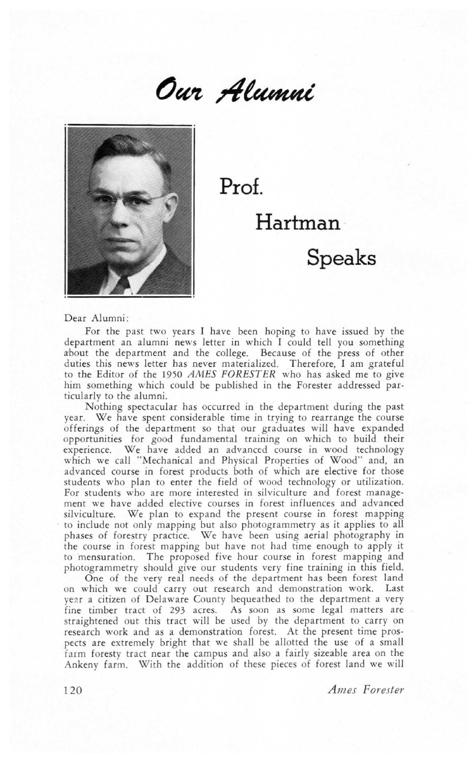



Prof.

Hartman

## Speaks

Dear Alumni:

For the past two years I have been hoping to have issued by the department an alumni news letter in which I could tell you something about the department and the college. Because of the press of other duties this news letter has never materialized. Therefore. I am grateful to the Editor of the 1950 AMES FORESTER who has asked me to give him something which could be published in the Forester addressed particularly to the alumni.

Nothing spectacular has occurred in the department during the past year. We have spent considerable time in trying to rearrange the course offerings of the department so that our graduates will have expanded opportunities for good fundamental training on which to build their experience. We have added an advanced course in wood technology which we call `'Mechanical and Physical Properties of Wood" and, an advanced course in forest products both of which are elective for those students who plan to enter the field of wood technology or utilization. For students who are more interested in silviculture and forest management we have added elective courses in forest influences and advanced silviculture. We plan to expand the present course in forest mapping to include not only mapping but also photogrammetry as it applies to all phases of forestry practice. We have been using aerial photography in the course in forest mapping but have not had time enough to apply it to mensuration. The proposed five hour course in forest mapping and photogrammetry should give our students very fine training in this field.

One of the very real needs of the department has been forest land on which we could carry out research and demonstration work. Last year a citizen of Delaware County bequeathed to the department a very fine timber tract of 293 acres. As soon as some legal matters are straightened out this tract will be used by the department to carry on research work and as a demonstration forest. At the present time prospects are extremely bright that we shall be allotted the use of a small farm foresty tract near the campus and also a fairly sizeable area on the Ankeny farm. W'ith the addition of these pieces of forest land we will

120 Ames Forester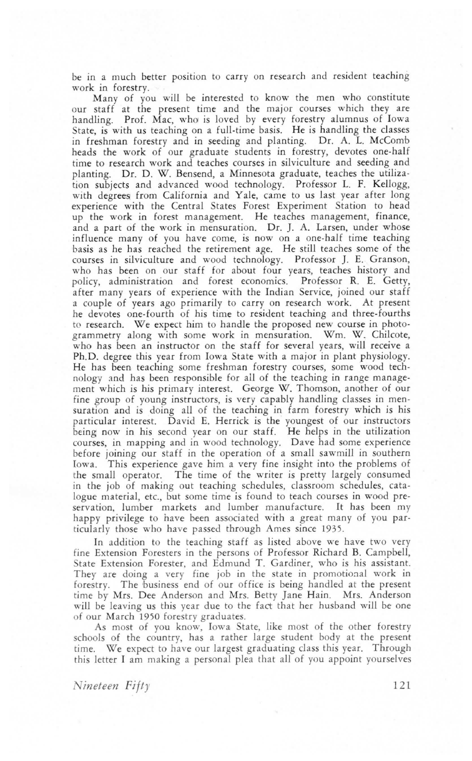be in a much better position to carry on research and resident teaching work in forestry.

Many of you will be interested to know the men who constitute our staff at the present time and the major courses which they are handling. Prof. Mac, who is loved by every forestry alumnus of Iowa State, is with us teaching on a full-time basis. He is handling the classes in freshman forestry and in seeding and planting. Dr. A. L. McComb heads the work of our graduate students in forestry, devotes one-half time to research work and teaches courses in silviculture and seeding and planting. Dr. D. W. Bensend, a Minnesota graduate, teaches the utilization subjects and advanced wood technology. Professor L. F. Kellogg, with degrees from California and Yale, came to us last year after long experience with the Central States Forest Experiment Station to head up the work in forest management. He teaches management, finance, and a part of the work in mensuration. Dr. J. A. Larsen, under whose influence many of you have come, is now on a one-half time teaching lbasis as he has reached the retirement age. He still teaches some of the courses in silviculture and wood technology. Professor J. E. Granson, who has been on our staff for about four years, teaches history and policy, administration and forest economics. Professor R. E. Getty. after many years of experience with the Indian Service, joined our staff a couple of years ago primarily to carry on research work. At present he devotes one-fourth of his time to resident teaching and three-fourths to research. We expect him to handle the proposed new course in photogrammetry along with some work in mensuration. Wm. W. Chilcote, who has been an instructor on the staff for several years, will receive a Ph.D. degree this year from Iowa State with a major in plant physiology. He has been teaching some freshman forestry courses, some wood technology and has been responsible for all of the teaching in range management which is his primary interest. George W. Thomson, another of our fine group of young instructors, is very capably handling classes in mensuration and is doing all of the teaching in farm forestry which is his particular interest. David E. Herrick is the youngest of our instructors being now in his second year on our staff. He helps in the utilization courses, in mapping and in wood technology. Dave had some experience before joining our staff in the operation of a small sawmill in southern Iowa. This experience gave him a very fine insight into the problems of the small operator. The time of the writer is pretty largely consumed in the job of making out teaching schedules, classroom schedules, catalogue material, etc., but some time is found to teach courses in wood preservation, lumber markets and lumber manufacture. It has been my happy privilege to have been associated with a great many of you particularly those who have passed through Ames since 1935.

In addition to the teaching staff as listed above we have two very fine Extension Foresters in the persons of Professor Richard B. Campbell, State Extension Forester, and Edmund T. Gardiner, who is his assistant. They are doing a very fine job in the state in promotional work in forestry. The business end of our office is being handled at the present time by Mrs. Dee Anderson and Mrs. Betty Jane Hain. Mrs. Anderson will be leaving us this year due to the fact that her husband will be one of our March 1950 forestry graduates.

As most of you know, Iowa State, like most of the other forestry schools of the country, has a rather large student body at the present time. We expect to have our largest graduating class this year. Through this letter I am making a personal plea that all of you appoint yourselves

Nineteen Fifty 121